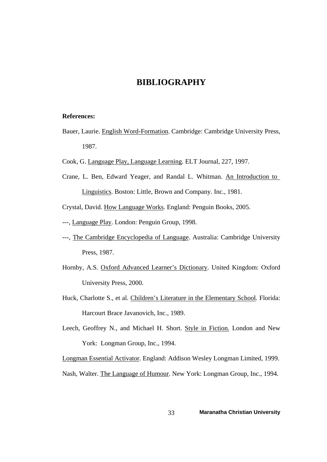## **BIBLIOGRAPHY**

#### **References:**

- Bauer, Laurie. English Word-Formation. Cambridge: Cambridge University Press, 1987.
- Cook, G. Language Play, Language Learning. ELT Journal, 227, 1997.
- Crane, L. Ben, Edward Yeager, and Randal L. Whitman. An Introduction to Linguistics. Boston: Little, Brown and Company. Inc., 1981.
- Crystal, David. How Language Works. England: Penguin Books, 2005.
- ---, Language Play. London: Penguin Group, 1998.
- ---, The Cambridge Encyclopedia of Language. Australia: Cambridge University Press, 1987.
- Hornby, A.S. Oxford Advanced Learner's Dictionary. United Kingdom: Oxford University Press, 2000.
- Huck, Charlotte S., et al. Children's Literature in the Elementary School. Florida: Harcourt Brace Javanovich, Inc., 1989.
- Leech, Geoffrey N., and Michael H. Short. Style in Fiction. London and New York: Longman Group, Inc., 1994.

Longman Essential Activator. England: Addison Wesley Longman Limited, 1999. Nash, Walter. The Language of Humour. New York: Longman Group, Inc., 1994.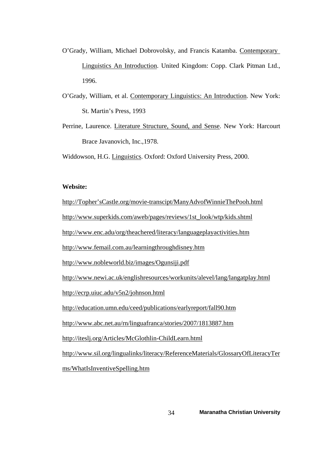- O'Grady, William, Michael Dobrovolsky, and Francis Katamba. Contemporary Linguistics An Introduction. United Kingdom: Copp. Clark Pitman Ltd., 1996.
- O'Grady, William, et al. Contemporary Linguistics: An Introduction. New York: St. Martin's Press, 1993
- Perrine, Laurence. Literature Structure, Sound, and Sense. New York: Harcourt Brace Javanovich, Inc.,1978.

Widdowson, H.G. Linguistics. Oxford: Oxford University Press, 2000.

### **Website:**

http://Topher'sCastle.org/movie-transcipt/ManyAdvofWinnieThePooh.html

[http://www.superkids.com/aweb/pages/reviews/1st\\_look/wtp/kids.shtml](http://www.superkids.com/aweb/pages/reviews/1st_look/wtp/kids.shtml)

<http://www.enc.adu/org/theachered/literacy/languageplayactivities.htm>

<http://www.femail.com.au/learningthroughdisney.htm>

<http://www.nobleworld.biz/images/Ogunsiji.pdf>

<http://www.newi.ac.uk/englishresources/workunits/alevel/lang/langatplay.html>

<http://ecrp.uiuc.adu/v5n2/johnson.html>

<http://education.umn.edu/ceed/publications/earlyreport/fall90.htm>

<http://www.abc.net.au/rn/linguafranca/stories/2007/1813887.htm>

<http://iteslj.org/Articles/McGlothlin-ChildLearn.html>

[http://www.sil.org/lingualinks/literacy/ReferenceMaterials/GlossaryOfLiteracyTer](http://www.sil.org/lingualinks/literacy/ReferenceMaterials/GlossaryOfLiteracyTerms/WhatIsInventiveSpelling.htm)

[ms/WhatIsInventiveSpelling.htm](http://www.sil.org/lingualinks/literacy/ReferenceMaterials/GlossaryOfLiteracyTerms/WhatIsInventiveSpelling.htm)